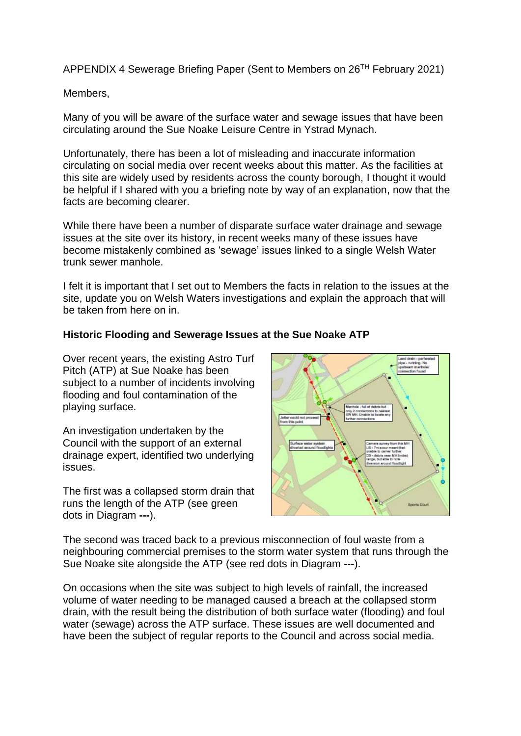APPENDIX 4 Sewerage Briefing Paper (Sent to Members on 26TH February 2021)

Members,

Many of you will be aware of the surface water and sewage issues that have been circulating around the Sue Noake Leisure Centre in Ystrad Mynach.

Unfortunately, there has been a lot of misleading and inaccurate information circulating on social media over recent weeks about this matter. As the facilities at this site are widely used by residents across the county borough, I thought it would be helpful if I shared with you a briefing note by way of an explanation, now that the facts are becoming clearer.

While there have been a number of disparate surface water drainage and sewage issues at the site over its history, in recent weeks many of these issues have become mistakenly combined as 'sewage' issues linked to a single Welsh Water trunk sewer manhole.

I felt it is important that I set out to Members the facts in relation to the issues at the site, update you on Welsh Waters investigations and explain the approach that will be taken from here on in.

## **Historic Flooding and Sewerage Issues at the Sue Noake ATP**

Over recent years, the existing Astro Turf Pitch (ATP) at Sue Noake has been subject to a number of incidents involving flooding and foul contamination of the playing surface.

An investigation undertaken by the Council with the support of an external drainage expert, identified two underlying issues.

The first was a collapsed storm drain that runs the length of the ATP (see green dots in Diagram **---**).



The second was traced back to a previous misconnection of foul waste from a neighbouring commercial premises to the storm water system that runs through the Sue Noake site alongside the ATP (see red dots in Diagram **---**).

On occasions when the site was subject to high levels of rainfall, the increased volume of water needing to be managed caused a breach at the collapsed storm drain, with the result being the distribution of both surface water (flooding) and foul water (sewage) across the ATP surface. These issues are well documented and have been the subject of regular reports to the Council and across social media.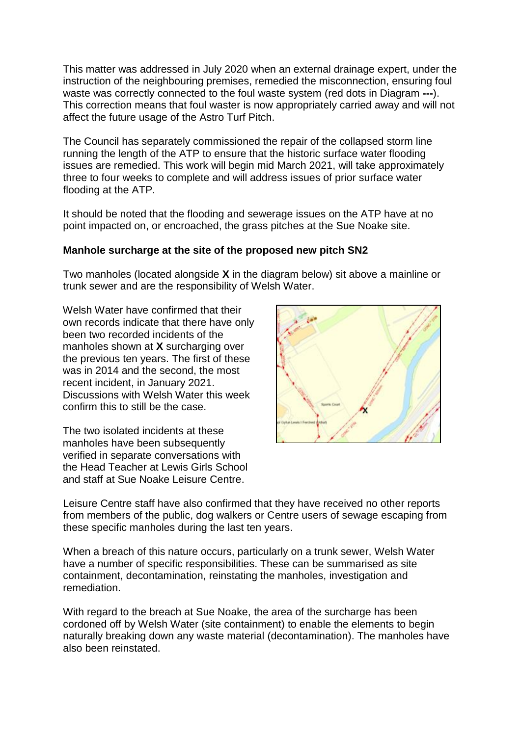This matter was addressed in July 2020 when an external drainage expert, under the instruction of the neighbouring premises, remedied the misconnection, ensuring foul waste was correctly connected to the foul waste system (red dots in Diagram **---**). This correction means that foul waster is now appropriately carried away and will not affect the future usage of the Astro Turf Pitch.

The Council has separately commissioned the repair of the collapsed storm line running the length of the ATP to ensure that the historic surface water flooding issues are remedied. This work will begin mid March 2021, will take approximately three to four weeks to complete and will address issues of prior surface water flooding at the ATP.

It should be noted that the flooding and sewerage issues on the ATP have at no point impacted on, or encroached, the grass pitches at the Sue Noake site.

# **Manhole surcharge at the site of the proposed new pitch SN2**

Two manholes (located alongside **X** in the diagram below) sit above a mainline or trunk sewer and are the responsibility of Welsh Water.

Welsh Water have confirmed that their own records indicate that there have only been two recorded incidents of the manholes shown at **X** surcharging over the previous ten years. The first of these was in 2014 and the second, the most recent incident, in January 2021. Discussions with Welsh Water this week confirm this to still be the case.

The two isolated incidents at these manholes have been subsequently verified in separate conversations with the Head Teacher at Lewis Girls School and staff at Sue Noake Leisure Centre.



Leisure Centre staff have also confirmed that they have received no other reports from members of the public, dog walkers or Centre users of sewage escaping from these specific manholes during the last ten years.

When a breach of this nature occurs, particularly on a trunk sewer, Welsh Water have a number of specific responsibilities. These can be summarised as site containment, decontamination, reinstating the manholes, investigation and remediation.

With regard to the breach at Sue Noake, the area of the surcharge has been cordoned off by Welsh Water (site containment) to enable the elements to begin naturally breaking down any waste material (decontamination). The manholes have also been reinstated.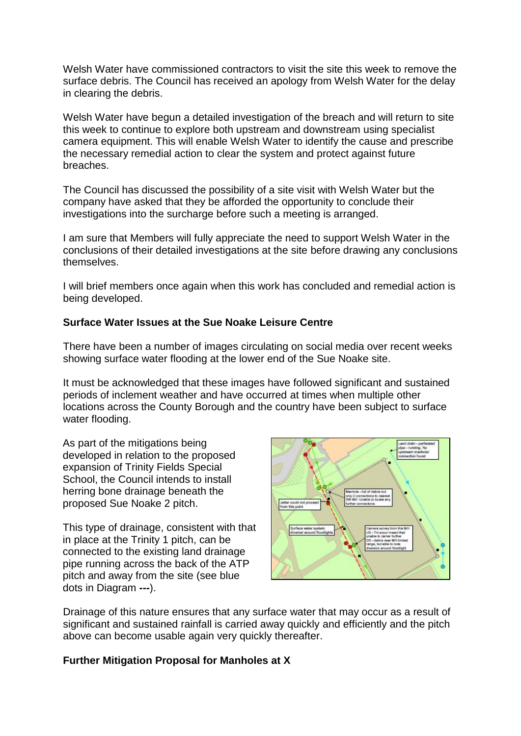Welsh Water have commissioned contractors to visit the site this week to remove the surface debris. The Council has received an apology from Welsh Water for the delay in clearing the debris.

Welsh Water have begun a detailed investigation of the breach and will return to site this week to continue to explore both upstream and downstream using specialist camera equipment. This will enable Welsh Water to identify the cause and prescribe the necessary remedial action to clear the system and protect against future breaches.

The Council has discussed the possibility of a site visit with Welsh Water but the company have asked that they be afforded the opportunity to conclude their investigations into the surcharge before such a meeting is arranged.

I am sure that Members will fully appreciate the need to support Welsh Water in the conclusions of their detailed investigations at the site before drawing any conclusions themselves.

I will brief members once again when this work has concluded and remedial action is being developed.

# **Surface Water Issues at the Sue Noake Leisure Centre**

There have been a number of images circulating on social media over recent weeks showing surface water flooding at the lower end of the Sue Noake site.

It must be acknowledged that these images have followed significant and sustained periods of inclement weather and have occurred at times when multiple other locations across the County Borough and the country have been subject to surface water flooding.

As part of the mitigations being developed in relation to the proposed expansion of Trinity Fields Special School, the Council intends to install herring bone drainage beneath the proposed Sue Noake 2 pitch.

This type of drainage, consistent with that in place at the Trinity 1 pitch, can be connected to the existing land drainage pipe running across the back of the ATP pitch and away from the site (see blue dots in Diagram **---**).



Drainage of this nature ensures that any surface water that may occur as a result of significant and sustained rainfall is carried away quickly and efficiently and the pitch above can become usable again very quickly thereafter.

## **Further Mitigation Proposal for Manholes at X**